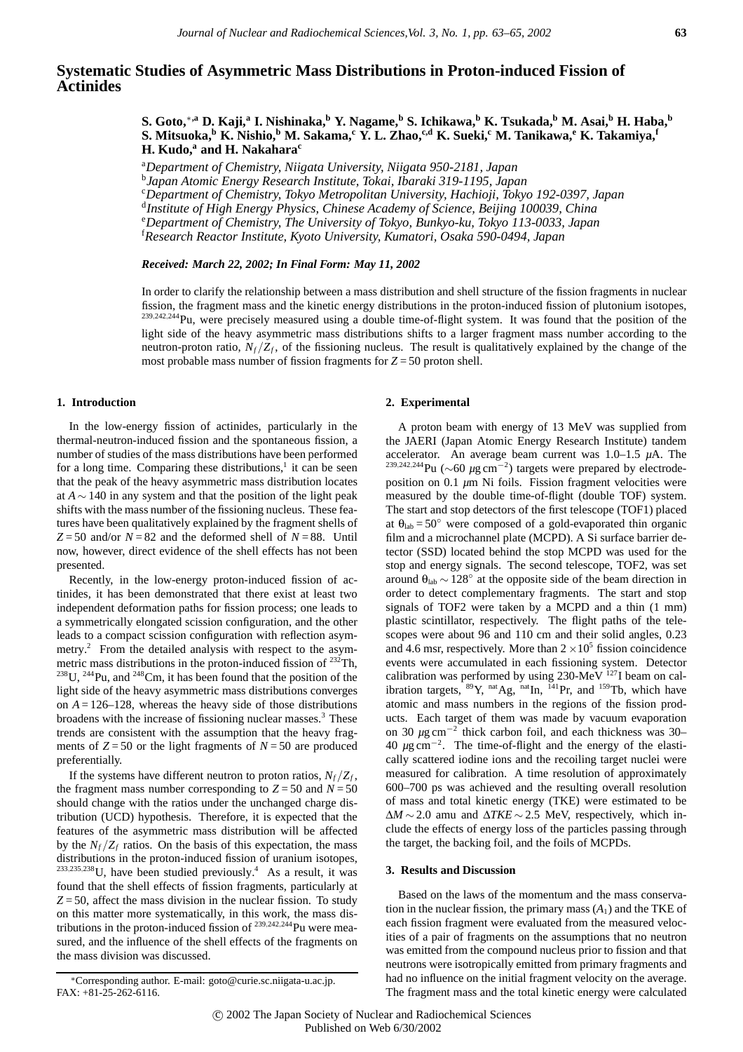# **Systematic Studies of Asymmetric Mass Distributions in Proton-induced Fission of Actinides**

**S. Goto,**∗**,a D. Kaji,<sup>a</sup> I. Nishinaka,b Y. Nagame,<sup>b</sup> S. Ichikawa,<sup>b</sup> K. Tsukada,b M. Asai,<sup>b</sup> H. Haba,<sup>b</sup> S. Mitsuoka,b K. Nishio,b M. Sakama,<sup>c</sup> Y. L. Zhao,c,d K. Sueki,c M. Tanikawa,<sup>e</sup> K. Takamiya,<sup>f</sup> H. Kudo,<sup>a</sup> and H. Nakahara**<sup>c</sup>

a *Department of Chemistry, Niigata University, Niigata 950-2181, Japan*

b *Japan Atomic Energy Research Institute, Tokai, Ibaraki 319-1195, Japan*

c *Department of Chemistry, Tokyo Metropolitan University, Hachioji, Tokyo 192-0397, Japan*

d *Institute of High Energy Physics, Chinese Academy of Science, Beijing 100039, China*

e *Department of Chemistry, The University of Tokyo, Bunkyo-ku, Tokyo 113-0033, Japan*

f *Research Reactor Institute, Kyoto University, Kumatori, Osaka 590-0494, Japan*

## *Received: March 22, 2002; In Final Form: May 11, 2002*

In order to clarify the relationship between a mass distribution and shell structure of the fission fragments in nuclear fission, the fragment mass and the kinetic energy distributions in the proton-induced fission of plutonium isotopes, <sup>239</sup>*,*242*,*244Pu, were precisely measured using a double time-of-flight system. It was found that the position of the light side of the heavy asymmetric mass distributions shifts to a larger fragment mass number according to the neutron-proton ratio,  $N_f/Z_f$ , of the fissioning nucleus. The result is qualitatively explained by the change of the most probable mass number of fission fragments for  $Z = 50$  proton shell.

## **1. Introduction**

In the low-energy fission of actinides, particularly in the thermal-neutron-induced fission and the spontaneous fission, a number of studies of the mass distributions have been performed for a long time. Comparing these distributions, $\frac{1}{1}$  it can be seen that the peak of the heavy asymmetric mass distribution locates at *A* ∼ 140 in any system and that the position of the light peak shifts with the mass number of the fissioning nucleus. These features have been qualitatively explained by the fragment shells of  $Z = 50$  and/or  $N = 82$  and the deformed shell of  $N = 88$ . Until now, however, direct evidence of the shell effects has not been presented.

Recently, in the low-energy proton-induced fission of actinides, it has been demonstrated that there exist at least two independent deformation paths for fission process; one leads to a symmetrically elongated scission configuration, and the other leads to a compact scission configuration with reflection asymmetry.<sup>2</sup> From the detailed analysis with respect to the asymmetric mass distributions in the proton-induced fission of  $^{232}$ Th, <sup>238</sup>U, <sup>244</sup>Pu, and <sup>248</sup>Cm, it has been found that the position of the light side of the heavy asymmetric mass distributions converges on  $A = 126-128$ , whereas the heavy side of those distributions broadens with the increase of fissioning nuclear masses.<sup>3</sup> These trends are consistent with the assumption that the heavy fragments of  $Z = 50$  or the light fragments of  $N = 50$  are produced preferentially.

If the systems have different neutron to proton ratios,  $N_f/Z_f$ , the fragment mass number corresponding to  $Z = 50$  and  $N = 50$ should change with the ratios under the unchanged charge distribution (UCD) hypothesis. Therefore, it is expected that the features of the asymmetric mass distribution will be affected by the  $N_f/Z_f$  ratios. On the basis of this expectation, the mass distributions in the proton-induced fission of uranium isotopes, <sup>233</sup>*,*235*,*238U, have been studied previously.4 As a result, it was found that the shell effects of fission fragments, particularly at  $Z = 50$ , affect the mass division in the nuclear fission. To study on this matter more systematically, in this work, the mass distributions in the proton-induced fission of <sup>239,242,244</sup>Pu were measured, and the influence of the shell effects of the fragments on the mass division was discussed.

### **2. Experimental**

A proton beam with energy of 13 MeV was supplied from the JAERI (Japan Atomic Energy Research Institute) tandem accelerator. An average beam current was 1.0–1.5 *µ*A. The <sup>239</sup>*,*242*,*244Pu (∼60 *µ*g cm−<sup>2</sup> ) targets were prepared by electrodeposition on 0.1 *µ*m Ni foils. Fission fragment velocities were measured by the double time-of-flight (double TOF) system. The start and stop detectors of the first telescope (TOF1) placed at  $\theta_{\text{lab}} = 50^{\circ}$  were composed of a gold-evaporated thin organic film and a microchannel plate (MCPD). A Si surface barrier detector (SSD) located behind the stop MCPD was used for the stop and energy signals. The second telescope, TOF2, was set around  $\theta_{\text{lab}} \sim 128^\circ$  at the opposite side of the beam direction in order to detect complementary fragments. The start and stop signals of TOF2 were taken by a MCPD and a thin (1 mm) plastic scintillator, respectively. The flight paths of the telescopes were about 96 and 110 cm and their solid angles, 0.23 and 4.6 msr, respectively. More than  $2 \times 10^5$  fission coincidence events were accumulated in each fissioning system. Detector calibration was performed by using 230-MeV  $^{127}$ I beam on calibration targets,  $^{89}Y$ ,  $^{nat}Ag$ ,  $^{nat}In$ ,  $^{141}Pr$ , and  $^{159}Tb$ , which have atomic and mass numbers in the regions of the fission products. Each target of them was made by vacuum evaporation on 30 *µ*g cm−<sup>2</sup> thick carbon foil, and each thickness was 30– 40 *µ*g cm−<sup>2</sup> . The time-of-flight and the energy of the elastically scattered iodine ions and the recoiling target nuclei were measured for calibration. A time resolution of approximately 600–700 ps was achieved and the resulting overall resolution of mass and total kinetic energy (TKE) were estimated to be ∆*M* ∼ 2.0 amu and ∆*TKE* ∼ 2.5 MeV, respectively, which include the effects of energy loss of the particles passing through the target, the backing foil, and the foils of MCPDs.

#### **3. Results and Discussion**

Based on the laws of the momentum and the mass conservation in the nuclear fission, the primary mass  $(A_1)$  and the TKE of each fission fragment were evaluated from the measured velocities of a pair of fragments on the assumptions that no neutron was emitted from the compound nucleus prior to fission and that neutrons were isotropically emitted from primary fragments and had no influence on the initial fragment velocity on the average. The fragment mass and the total kinetic energy were calculated

<sup>∗</sup>Corresponding author. E-mail: goto@curie.sc.niigata-u.ac.jp. FAX: +81-25-262-6116.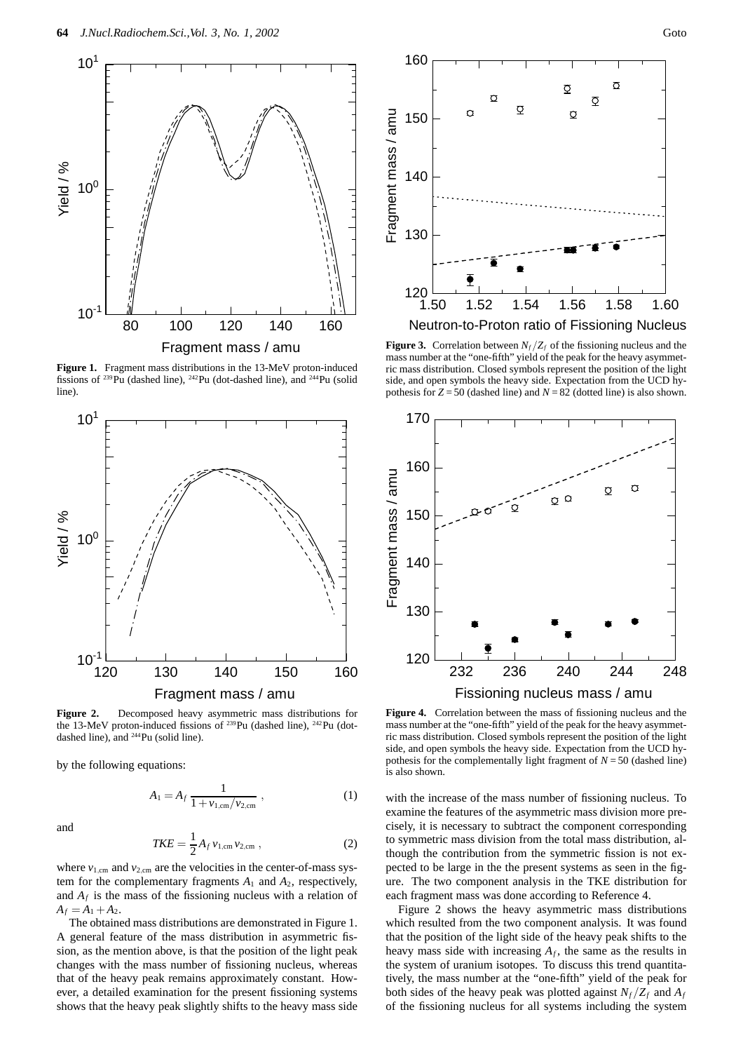

**Figure 1.** Fragment mass distributions in the 13-MeV proton-induced fissions of 239Pu (dashed line), 242Pu (dot-dashed line), and 244Pu (solid line).



**Figure 2.** Decomposed heavy asymmetric mass distributions for the 13-MeV proton-induced fissions of <sup>239</sup>Pu (dashed line), <sup>242</sup>Pu (dotdashed line), and 244Pu (solid line).

by the following equations:

$$
A_1 = A_f \, \frac{1}{1 + \nu_{1, \text{cm}} / \nu_{2, \text{cm}}},\tag{1}
$$

and

$$
TKE = \frac{1}{2} A_f v_{1,\text{cm}} v_{2,\text{cm}} , \qquad (2)
$$

where  $v_{1,cm}$  and  $v_{2,cm}$  are the velocities in the center-of-mass system for the complementary fragments *A*<sup>1</sup> and *A*2, respectively, and  $A_f$  is the mass of the fissioning nucleus with a relation of  $A_f = A_1 + A_2.$ 

The obtained mass distributions are demonstrated in Figure 1. A general feature of the mass distribution in asymmetric fission, as the mention above, is that the position of the light peak changes with the mass number of fissioning nucleus, whereas that of the heavy peak remains approximately constant. However, a detailed examination for the present fissioning systems shows that the heavy peak slightly shifts to the heavy mass side



Neutron-to-Proton ratio of Fissioning Nucleus

**Figure 3.** Correlation between  $N_f/Z_f$  of the fissioning nucleus and the mass number at the "one-fifth" yield of the peak for the heavy asymmetric mass distribution. Closed symbols represent the position of the light side, and open symbols the heavy side. Expectation from the UCD hypothesis for  $Z = 50$  (dashed line) and  $N = 82$  (dotted line) is also shown.



**Figure 4.** Correlation between the mass of fissioning nucleus and the mass number at the "one-fifth" yield of the peak for the heavy asymmetric mass distribution. Closed symbols represent the position of the light side, and open symbols the heavy side. Expectation from the UCD hypothesis for the complementally light fragment of  $N = 50$  (dashed line) is also shown.

with the increase of the mass number of fissioning nucleus. To examine the features of the asymmetric mass division more precisely, it is necessary to subtract the component corresponding to symmetric mass division from the total mass distribution, although the contribution from the symmetric fission is not expected to be large in the the present systems as seen in the figure. The two component analysis in the TKE distribution for each fragment mass was done according to Reference 4.

Figure 2 shows the heavy asymmetric mass distributions which resulted from the two component analysis. It was found that the position of the light side of the heavy peak shifts to the heavy mass side with increasing  $A_f$ , the same as the results in the system of uranium isotopes. To discuss this trend quantitatively, the mass number at the "one-fifth" yield of the peak for both sides of the heavy peak was plotted against  $N_f/Z_f$  and  $A_f$ of the fissioning nucleus for all systems including the system